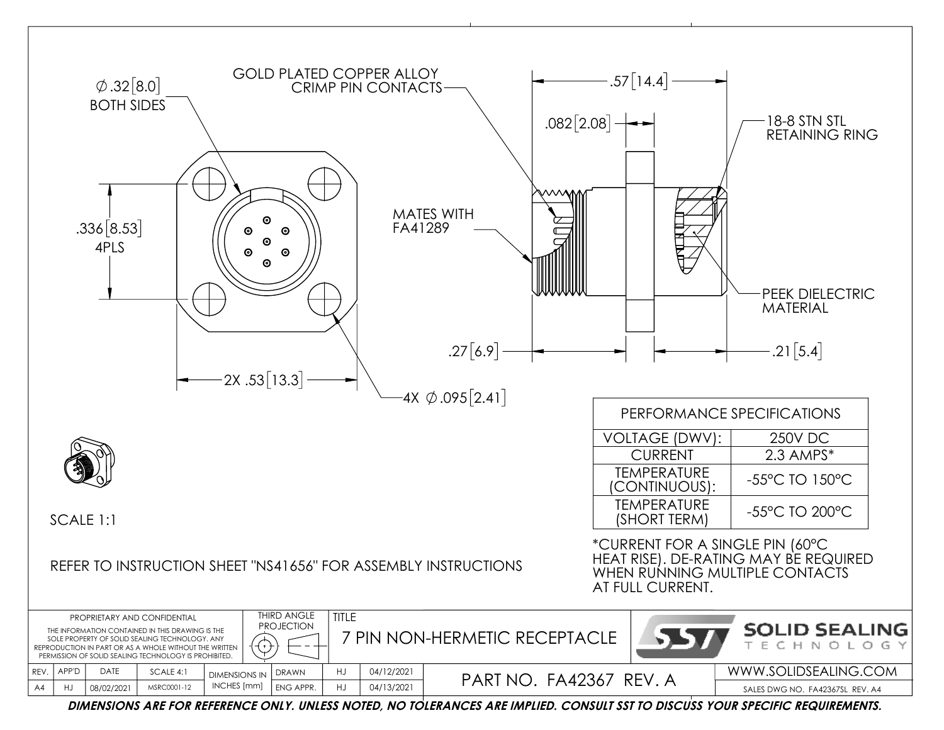

**DIMENSIONS ARE FOR REFERENCE ONLY. UNLESS NOTED, NO TOLERANCES ARE IMPLIED. CONSULT SST TO DISCUSS YOUR SPECIFIC REQUIREMENTS.**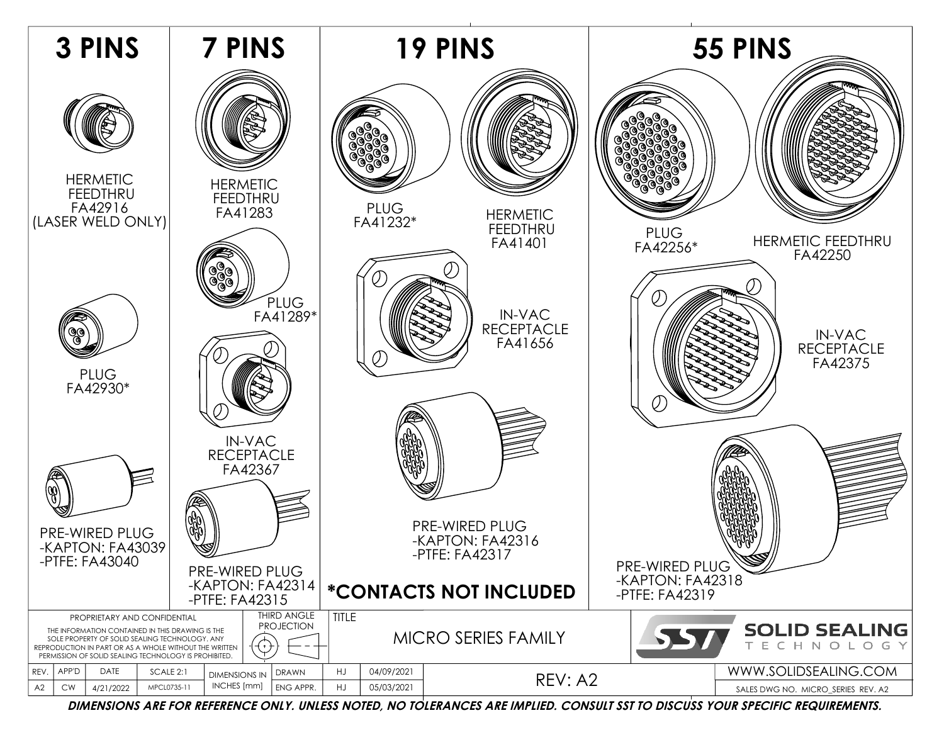

**DIMENSIONS ARE FOR REFERENCE ONLY. UNLESS NOTED, NO TOLERANCES ARE IMPLIED. CONSULT SST TO DISCUSS YOUR SPECIFIC REQUIREMENTS.**